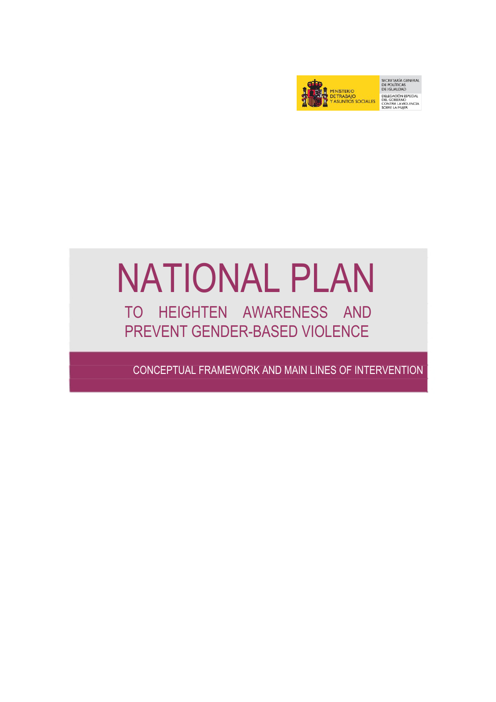

SECRETARÍA GENERAL<br>DE POLÍTICAS<br>DE IGUALDAD DELEGACIÓN ESPECIAL<br>DEL GOBIERNO<br>CONTRA LA VIOLENCIA<br>SOBRE LA MUJER

## NATIONAL PLAN TO HEIGHTEN AWARENESS AND PREVENT GENDER-BASED VIOLENCE

l

CONCEPTUAL FRAMEWORK AND MAIN LINES OF INTERVENTION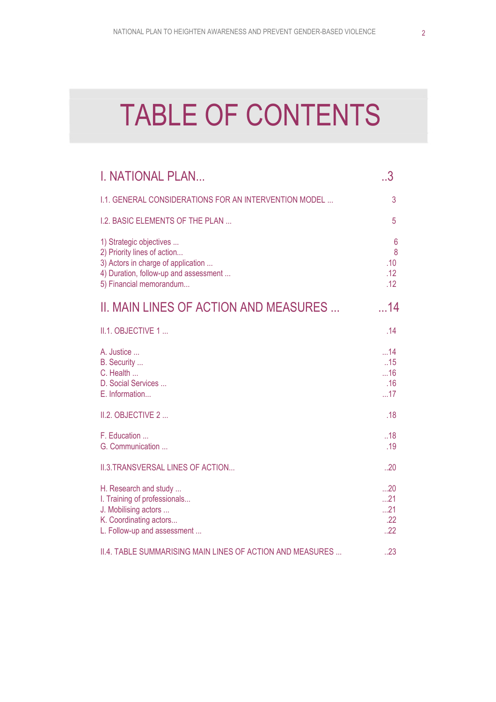# TABLE OF CONTENTS

| <b>I. NATIONAL PLAN</b>                                                                                                                                          | 3                            |
|------------------------------------------------------------------------------------------------------------------------------------------------------------------|------------------------------|
| 1.1. GENERAL CONSIDERATIONS FOR AN INTERVENTION MODEL                                                                                                            | 3                            |
| <b>I.2. BASIC ELEMENTS OF THE PLAN</b>                                                                                                                           | 5                            |
| 1) Strategic objectives<br>2) Priority lines of action<br>3) Actors in charge of application<br>4) Duration, follow-up and assessment<br>5) Financial memorandum | 6<br>8<br>.10<br>.12<br>.12  |
| II. MAIN LINES OF ACTION AND MEASURES                                                                                                                            | . .14                        |
| II.1. OBJECTIVE 1                                                                                                                                                | .14                          |
| A. Justice<br>B. Security<br>C. Health<br>D. Social Services<br>E. Information                                                                                   | 14<br>.15<br>16<br>.16<br>17 |
| II.2. OBJECTIVE 2                                                                                                                                                | .18                          |
| F. Education<br>G. Communication                                                                                                                                 | .18<br>.19                   |
| II.3. TRANSVERSAL LINES OF ACTION                                                                                                                                | .20                          |
| H. Research and study<br>I. Training of professionals<br>J. Mobilising actors<br>K. Coordinating actors<br>L. Follow-up and assessment                           | 20<br>21<br>21<br>.22<br>.22 |
| II.4. TABLE SUMMARISING MAIN LINES OF ACTION AND MEASURES                                                                                                        | .23                          |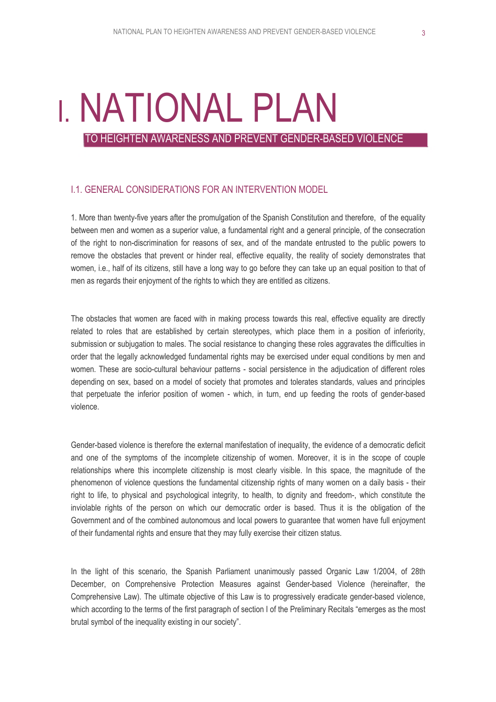# I. NATIONAL PLAN

TO HEIGHTEN AWARENESS AND PREVENT GENDER-BASED VIOLENCE

## I.1. GENERAL CONSIDERATIONS FOR AN INTERVENTION MODEL

1. More than twenty-five years after the promulgation of the Spanish Constitution and therefore, of the equality between men and women as a superior value, a fundamental right and a general principle, of the consecration of the right to non-discrimination for reasons of sex, and of the mandate entrusted to the public powers to remove the obstacles that prevent or hinder real, effective equality, the reality of society demonstrates that women, i.e., half of its citizens, still have a long way to go before they can take up an equal position to that of men as regards their enjoyment of the rights to which they are entitled as citizens.

The obstacles that women are faced with in making process towards this real, effective equality are directly related to roles that are established by certain stereotypes, which place them in a position of inferiority, submission or subjugation to males. The social resistance to changing these roles aggravates the difficulties in order that the legally acknowledged fundamental rights may be exercised under equal conditions by men and women. These are socio-cultural behaviour patterns - social persistence in the adjudication of different roles depending on sex, based on a model of society that promotes and tolerates standards, values and principles that perpetuate the inferior position of women - which, in turn, end up feeding the roots of gender-based violence.

Gender-based violence is therefore the external manifestation of inequality, the evidence of a democratic deficit and one of the symptoms of the incomplete citizenship of women. Moreover, it is in the scope of couple relationships where this incomplete citizenship is most clearly visible. In this space, the magnitude of the phenomenon of violence questions the fundamental citizenship rights of many women on a daily basis - their right to life, to physical and psychological integrity, to health, to dignity and freedom-, which constitute the inviolable rights of the person on which our democratic order is based. Thus it is the obligation of the Government and of the combined autonomous and local powers to guarantee that women have full enjoyment of their fundamental rights and ensure that they may fully exercise their citizen status.

In the light of this scenario, the Spanish Parliament unanimously passed Organic Law 1/2004, of 28th December, on Comprehensive Protection Measures against Gender-based Violence (hereinafter, the Comprehensive Law). The ultimate objective of this Law is to progressively eradicate gender-based violence, which according to the terms of the first paragraph of section I of the Preliminary Recitals "emerges as the most brutal symbol of the inequality existing in our society".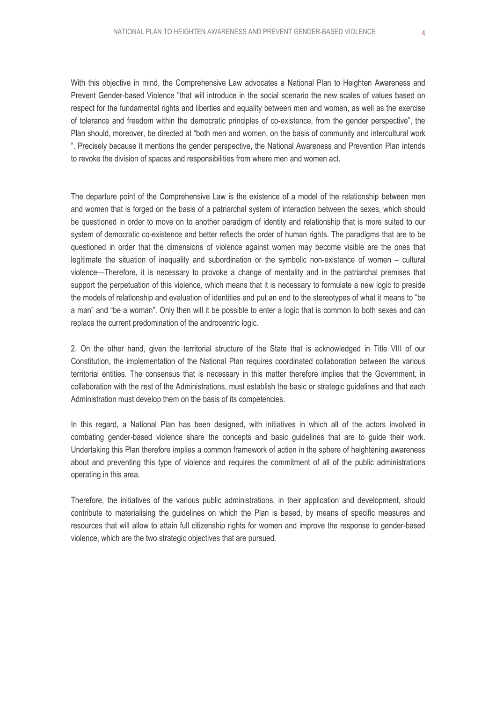With this objective in mind, the Comprehensive Law advocates a National Plan to Heighten Awareness and Prevent Gender-based Violence "that will introduce in the social scenario the new scales of values based on respect for the fundamental rights and liberties and equality between men and women, as well as the exercise of tolerance and freedom within the democratic principles of co-existence, from the gender perspective", the Plan should, moreover, be directed at "both men and women, on the basis of community and intercultural work ". Precisely because it mentions the gender perspective, the National Awareness and Prevention Plan intends to revoke the division of spaces and responsibilities from where men and women act.

The departure point of the Comprehensive Law is the existence of a model of the relationship between men and women that is forged on the basis of a patriarchal system of interaction between the sexes, which should be questioned in order to move on to another paradigm of identity and relationship that is more suited to our system of democratic co-existence and better reflects the order of human rights. The paradigms that are to be questioned in order that the dimensions of violence against women may become visible are the ones that legitimate the situation of inequality and subordination or the symbolic non-existence of women – cultural violence—Therefore, it is necessary to provoke a change of mentality and in the patriarchal premises that support the perpetuation of this violence, which means that it is necessary to formulate a new logic to preside the models of relationship and evaluation of identities and put an end to the stereotypes of what it means to "be a man" and "be a woman". Only then will it be possible to enter a logic that is common to both sexes and can replace the current predomination of the androcentric logic.

2. On the other hand, given the territorial structure of the State that is acknowledged in Title VIII of our Constitution, the implementation of the National Plan requires coordinated collaboration between the various territorial entities. The consensus that is necessary in this matter therefore implies that the Government, in collaboration with the rest of the Administrations, must establish the basic or strategic guidelines and that each Administration must develop them on the basis of its competencies.

In this regard, a National Plan has been designed, with initiatives in which all of the actors involved in combating gender-based violence share the concepts and basic guidelines that are to guide their work. Undertaking this Plan therefore implies a common framework of action in the sphere of heightening awareness about and preventing this type of violence and requires the commitment of all of the public administrations operating in this area.

Therefore, the initiatives of the various public administrations, in their application and development, should contribute to materialising the guidelines on which the Plan is based, by means of specific measures and resources that will allow to attain full citizenship rights for women and improve the response to gender-based violence, which are the two strategic objectives that are pursued.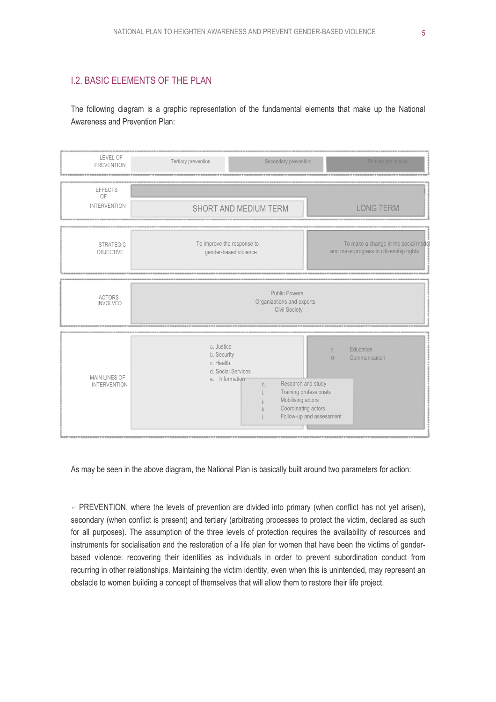## I.2. BASIC ELEMENTS OF THE PLAN

The following diagram is a graphic representation of the fundamental elements that make up the National Awareness and Prevention Plan:



As may be seen in the above diagram, the National Plan is basically built around two parameters for action:

 $\epsilon$  PREVENTION, where the levels of prevention are divided into primary (when conflict has not yet arisen), secondary (when conflict is present) and tertiary (arbitrating processes to protect the victim, declared as such for all purposes). The assumption of the three levels of protection requires the availability of resources and instruments for socialisation and the restoration of a life plan for women that have been the victims of genderbased violence: recovering their identities as individuals in order to prevent subordination conduct from recurring in other relationships. Maintaining the victim identity, even when this is unintended, may represent an obstacle to women building a concept of themselves that will allow them to restore their life project.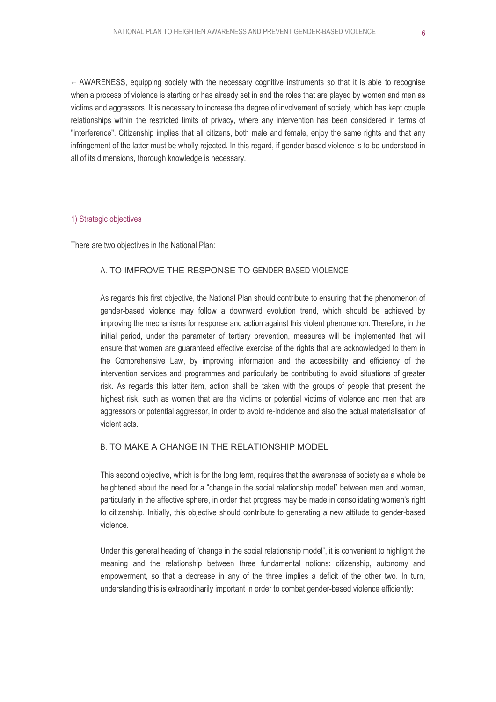$\leftarrow$  AWARENESS, equipping society with the necessary cognitive instruments so that it is able to recognise when a process of violence is starting or has already set in and the roles that are played by women and men as victims and aggressors. It is necessary to increase the degree of involvement of society, which has kept couple relationships within the restricted limits of privacy, where any intervention has been considered in terms of "interference". Citizenship implies that all citizens, both male and female, enjoy the same rights and that any infringement of the latter must be wholly rejected. In this regard, if gender-based violence is to be understood in all of its dimensions, thorough knowledge is necessary.

#### 1) Strategic objectives

There are two objectives in the National Plan:

#### A. TO IMPROVE THE RESPONSE TO GENDER-BASED VIOLENCE

As regards this first objective, the National Plan should contribute to ensuring that the phenomenon of gender-based violence may follow a downward evolution trend, which should be achieved by improving the mechanisms for response and action against this violent phenomenon. Therefore, in the initial period, under the parameter of tertiary prevention, measures will be implemented that will ensure that women are guaranteed effective exercise of the rights that are acknowledged to them in the Comprehensive Law, by improving information and the accessibility and efficiency of the intervention services and programmes and particularly be contributing to avoid situations of greater risk. As regards this latter item, action shall be taken with the groups of people that present the highest risk, such as women that are the victims or potential victims of violence and men that are aggressors or potential aggressor, in order to avoid re-incidence and also the actual materialisation of violent acts.

#### B. TO MAKE A CHANGE IN THE RELATIONSHIP MODEL

This second objective, which is for the long term, requires that the awareness of society as a whole be heightened about the need for a "change in the social relationship model" between men and women, particularly in the affective sphere, in order that progress may be made in consolidating women's right to citizenship. Initially, this objective should contribute to generating a new attitude to gender-based violence.

Under this general heading of "change in the social relationship model", it is convenient to highlight the meaning and the relationship between three fundamental notions: citizenship, autonomy and empowerment, so that a decrease in any of the three implies a deficit of the other two. In turn, understanding this is extraordinarily important in order to combat gender-based violence efficiently: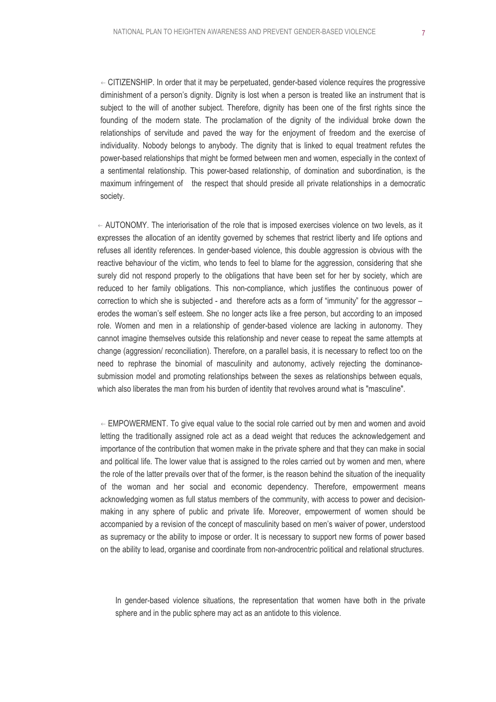$\leftarrow$  CITIZENSHIP. In order that it may be perpetuated, gender-based violence requires the progressive diminishment of a person's dignity. Dignity is lost when a person is treated like an instrument that is subject to the will of another subject. Therefore, dignity has been one of the first rights since the founding of the modern state. The proclamation of the dignity of the individual broke down the relationships of servitude and paved the way for the enjoyment of freedom and the exercise of individuality. Nobody belongs to anybody. The dignity that is linked to equal treatment refutes the power-based relationships that might be formed between men and women, especially in the context of a sentimental relationship. This power-based relationship, of domination and subordination, is the maximum infringement of the respect that should preside all private relationships in a democratic society.

 $\leftarrow$  AUTONOMY. The interiorisation of the role that is imposed exercises violence on two levels, as it expresses the allocation of an identity governed by schemes that restrict liberty and life options and refuses all identity references. In gender-based violence, this double aggression is obvious with the reactive behaviour of the victim, who tends to feel to blame for the aggression, considering that she surely did not respond properly to the obligations that have been set for her by society, which are reduced to her family obligations. This non-compliance, which justifies the continuous power of correction to which she is subjected - and therefore acts as a form of "immunity" for the aggressor – erodes the woman's self esteem. She no longer acts like a free person, but according to an imposed role. Women and men in a relationship of gender-based violence are lacking in autonomy. They cannot imagine themselves outside this relationship and never cease to repeat the same attempts at change (aggression/ reconciliation). Therefore, on a parallel basis, it is necessary to reflect too on the need to rephrase the binomial of masculinity and autonomy, actively rejecting the dominancesubmission model and promoting relationships between the sexes as relationships between equals, which also liberates the man from his burden of identity that revolves around what is "masculine".

 $\leftarrow$  EMPOWERMENT. To give equal value to the social role carried out by men and women and avoid letting the traditionally assigned role act as a dead weight that reduces the acknowledgement and importance of the contribution that women make in the private sphere and that they can make in social and political life. The lower value that is assigned to the roles carried out by women and men, where the role of the latter prevails over that of the former, is the reason behind the situation of the inequality of the woman and her social and economic dependency. Therefore, empowerment means acknowledging women as full status members of the community, with access to power and decisionmaking in any sphere of public and private life. Moreover, empowerment of women should be accompanied by a revision of the concept of masculinity based on men's waiver of power, understood as supremacy or the ability to impose or order. It is necessary to support new forms of power based on the ability to lead, organise and coordinate from non-androcentric political and relational structures.

In gender-based violence situations, the representation that women have both in the private sphere and in the public sphere may act as an antidote to this violence.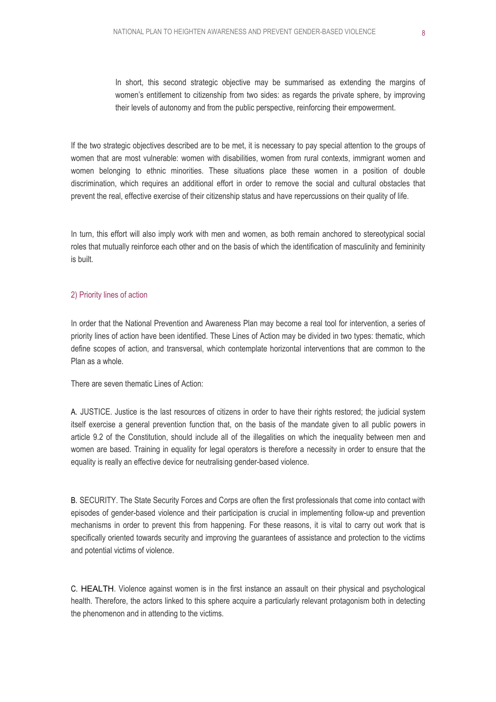In short, this second strategic objective may be summarised as extending the margins of women's entitlement to citizenship from two sides: as regards the private sphere, by improving their levels of autonomy and from the public perspective, reinforcing their empowerment.

If the two strategic objectives described are to be met, it is necessary to pay special attention to the groups of women that are most vulnerable: women with disabilities, women from rural contexts, immigrant women and women belonging to ethnic minorities. These situations place these women in a position of double discrimination, which requires an additional effort in order to remove the social and cultural obstacles that prevent the real, effective exercise of their citizenship status and have repercussions on their quality of life.

In turn, this effort will also imply work with men and women, as both remain anchored to stereotypical social roles that mutually reinforce each other and on the basis of which the identification of masculinity and femininity is built.

#### 2) Priority lines of action

In order that the National Prevention and Awareness Plan may become a real tool for intervention, a series of priority lines of action have been identified. These Lines of Action may be divided in two types: thematic, which define scopes of action, and transversal, which contemplate horizontal interventions that are common to the Plan as a whole.

There are seven thematic Lines of Action:

A. JUSTICE. Justice is the last resources of citizens in order to have their rights restored; the judicial system itself exercise a general prevention function that, on the basis of the mandate given to all public powers in article 9.2 of the Constitution, should include all of the illegalities on which the inequality between men and women are based. Training in equality for legal operators is therefore a necessity in order to ensure that the equality is really an effective device for neutralising gender-based violence.

B. SECURITY. The State Security Forces and Corps are often the first professionals that come into contact with episodes of gender-based violence and their participation is crucial in implementing follow-up and prevention mechanisms in order to prevent this from happening. For these reasons, it is vital to carry out work that is specifically oriented towards security and improving the guarantees of assistance and protection to the victims and potential victims of violence.

C. HEALTH. Violence against women is in the first instance an assault on their physical and psychological health. Therefore, the actors linked to this sphere acquire a particularly relevant protagonism both in detecting the phenomenon and in attending to the victims.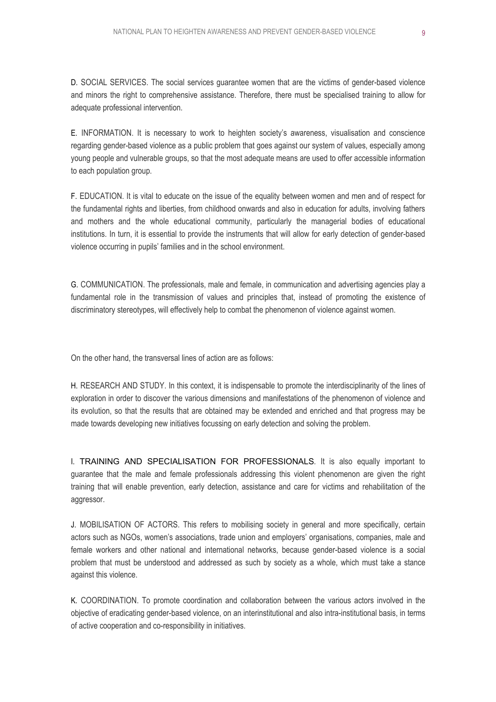D. SOCIAL SERVICES. The social services guarantee women that are the victims of gender-based violence and minors the right to comprehensive assistance. Therefore, there must be specialised training to allow for adequate professional intervention.

E. INFORMATION. It is necessary to work to heighten society's awareness, visualisation and conscience regarding gender-based violence as a public problem that goes against our system of values, especially among young people and vulnerable groups, so that the most adequate means are used to offer accessible information to each population group.

F. EDUCATION. It is vital to educate on the issue of the equality between women and men and of respect for the fundamental rights and liberties, from childhood onwards and also in education for adults, involving fathers and mothers and the whole educational community, particularly the managerial bodies of educational institutions. In turn, it is essential to provide the instruments that will allow for early detection of gender-based violence occurring in pupils' families and in the school environment.

G. COMMUNICATION. The professionals, male and female, in communication and advertising agencies play a fundamental role in the transmission of values and principles that, instead of promoting the existence of discriminatory stereotypes, will effectively help to combat the phenomenon of violence against women.

On the other hand, the transversal lines of action are as follows:

H. RESEARCH AND STUDY. In this context, it is indispensable to promote the interdisciplinarity of the lines of exploration in order to discover the various dimensions and manifestations of the phenomenon of violence and its evolution, so that the results that are obtained may be extended and enriched and that progress may be made towards developing new initiatives focussing on early detection and solving the problem.

I. TRAINING AND SPECIALISATION FOR PROFESSIONALS. It is also equally important to guarantee that the male and female professionals addressing this violent phenomenon are given the right training that will enable prevention, early detection, assistance and care for victims and rehabilitation of the aggressor.

J. MOBILISATION OF ACTORS. This refers to mobilising society in general and more specifically, certain actors such as NGOs, women's associations, trade union and employers' organisations, companies, male and female workers and other national and international networks, because gender-based violence is a social problem that must be understood and addressed as such by society as a whole, which must take a stance against this violence.

K. COORDINATION. To promote coordination and collaboration between the various actors involved in the objective of eradicating gender-based violence, on an interinstitutional and also intra-institutional basis, in terms of active cooperation and co-responsibility in initiatives.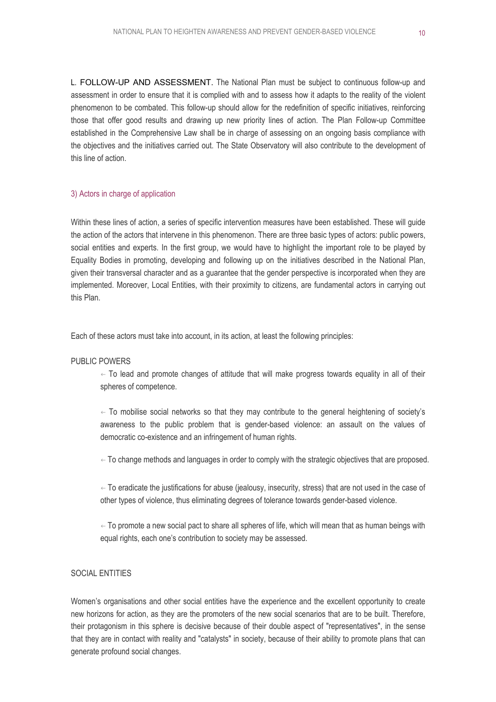L. FOLLOW-UP AND ASSESSMENT. The National Plan must be subject to continuous follow-up and assessment in order to ensure that it is complied with and to assess how it adapts to the reality of the violent phenomenon to be combated. This follow-up should allow for the redefinition of specific initiatives, reinforcing those that offer good results and drawing up new priority lines of action. The Plan Follow-up Committee established in the Comprehensive Law shall be in charge of assessing on an ongoing basis compliance with the objectives and the initiatives carried out. The State Observatory will also contribute to the development of this line of action.

#### 3) Actors in charge of application

Within these lines of action, a series of specific intervention measures have been established. These will guide the action of the actors that intervene in this phenomenon. There are three basic types of actors: public powers, social entities and experts. In the first group, we would have to highlight the important role to be played by Equality Bodies in promoting, developing and following up on the initiatives described in the National Plan, given their transversal character and as a guarantee that the gender perspective is incorporated when they are implemented. Moreover, Local Entities, with their proximity to citizens, are fundamental actors in carrying out this Plan.

Each of these actors must take into account, in its action, at least the following principles:

#### PUBLIC POWERS

 $\leftarrow$  To lead and promote changes of attitude that will make progress towards equality in all of their spheres of competence.

 $\epsilon$  To mobilise social networks so that they may contribute to the general heightening of society's awareness to the public problem that is gender-based violence: an assault on the values of democratic co-existence and an infringement of human rights.

 $\leftarrow$  To change methods and languages in order to comply with the strategic objectives that are proposed.

 $\leftarrow$  To eradicate the justifications for abuse (jealousy, insecurity, stress) that are not used in the case of other types of violence, thus eliminating degrees of tolerance towards gender-based violence.

 $\leftarrow$  To promote a new social pact to share all spheres of life, which will mean that as human beings with equal rights, each one's contribution to society may be assessed.

#### SOCIAL ENTITIES

Women's organisations and other social entities have the experience and the excellent opportunity to create new horizons for action, as they are the promoters of the new social scenarios that are to be built. Therefore, their protagonism in this sphere is decisive because of their double aspect of "representatives", in the sense that they are in contact with reality and "catalysts" in society, because of their ability to promote plans that can generate profound social changes.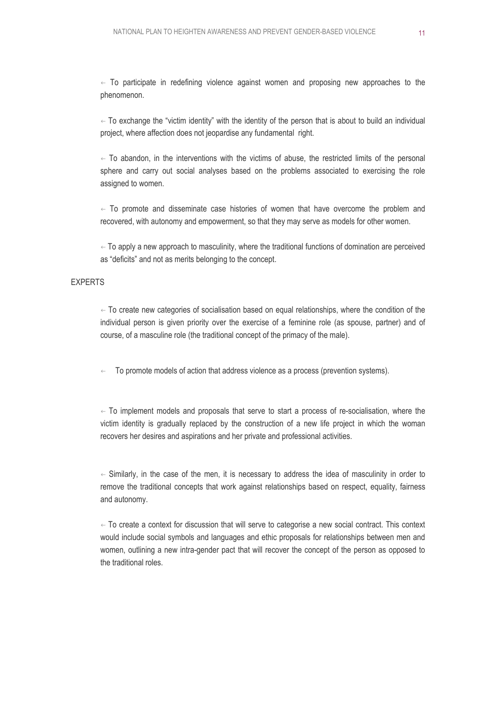$\leftarrow$  To participate in redefining violence against women and proposing new approaches to the phenomenon.

 $\leftarrow$  To exchange the "victim identity" with the identity of the person that is about to build an individual project, where affection does not jeopardise any fundamental right.

 $\leftarrow$  To abandon, in the interventions with the victims of abuse, the restricted limits of the personal sphere and carry out social analyses based on the problems associated to exercising the role assigned to women.

 $\leftarrow$  To promote and disseminate case histories of women that have overcome the problem and recovered, with autonomy and empowerment, so that they may serve as models for other women.

 $\leftarrow$  To apply a new approach to masculinity, where the traditional functions of domination are perceived as "deficits" and not as merits belonging to the concept.

#### EXPERTS

 $\leftarrow$  To create new categories of socialisation based on equal relationships, where the condition of the individual person is given priority over the exercise of a feminine role (as spouse, partner) and of course, of a masculine role (the traditional concept of the primacy of the male).

 $\leftarrow$  To promote models of action that address violence as a process (prevention systems).

 $\leftarrow$  To implement models and proposals that serve to start a process of re-socialisation, where the victim identity is gradually replaced by the construction of a new life project in which the woman recovers her desires and aspirations and her private and professional activities.

 $\epsilon$  Similarly, in the case of the men, it is necessary to address the idea of masculinity in order to remove the traditional concepts that work against relationships based on respect, equality, fairness and autonomy.

 $\leftarrow$  To create a context for discussion that will serve to categorise a new social contract. This context would include social symbols and languages and ethic proposals for relationships between men and women, outlining a new intra-gender pact that will recover the concept of the person as opposed to the traditional roles.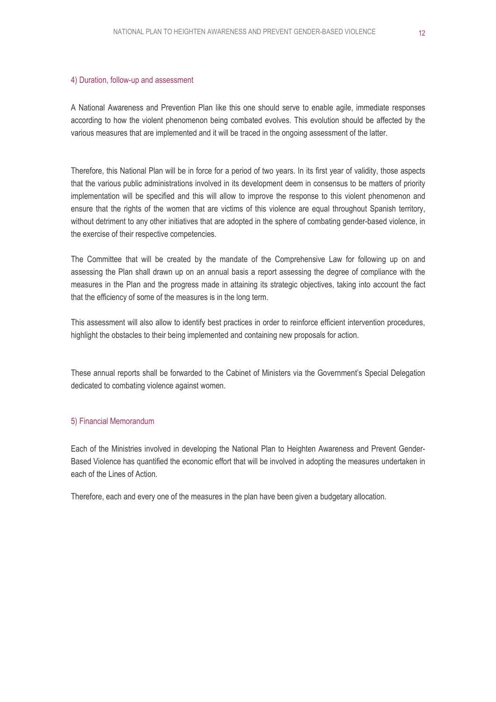#### 4) Duration, follow-up and assessment

A National Awareness and Prevention Plan like this one should serve to enable agile, immediate responses according to how the violent phenomenon being combated evolves. This evolution should be affected by the various measures that are implemented and it will be traced in the ongoing assessment of the latter.

Therefore, this National Plan will be in force for a period of two years. In its first year of validity, those aspects that the various public administrations involved in its development deem in consensus to be matters of priority implementation will be specified and this will allow to improve the response to this violent phenomenon and ensure that the rights of the women that are victims of this violence are equal throughout Spanish territory, without detriment to any other initiatives that are adopted in the sphere of combating gender-based violence, in the exercise of their respective competencies.

The Committee that will be created by the mandate of the Comprehensive Law for following up on and assessing the Plan shall drawn up on an annual basis a report assessing the degree of compliance with the measures in the Plan and the progress made in attaining its strategic objectives, taking into account the fact that the efficiency of some of the measures is in the long term.

This assessment will also allow to identify best practices in order to reinforce efficient intervention procedures, highlight the obstacles to their being implemented and containing new proposals for action.

These annual reports shall be forwarded to the Cabinet of Ministers via the Government's Special Delegation dedicated to combating violence against women.

#### 5) Financial Memorandum

Each of the Ministries involved in developing the National Plan to Heighten Awareness and Prevent Gender-Based Violence has quantified the economic effort that will be involved in adopting the measures undertaken in each of the Lines of Action.

Therefore, each and every one of the measures in the plan have been given a budgetary allocation.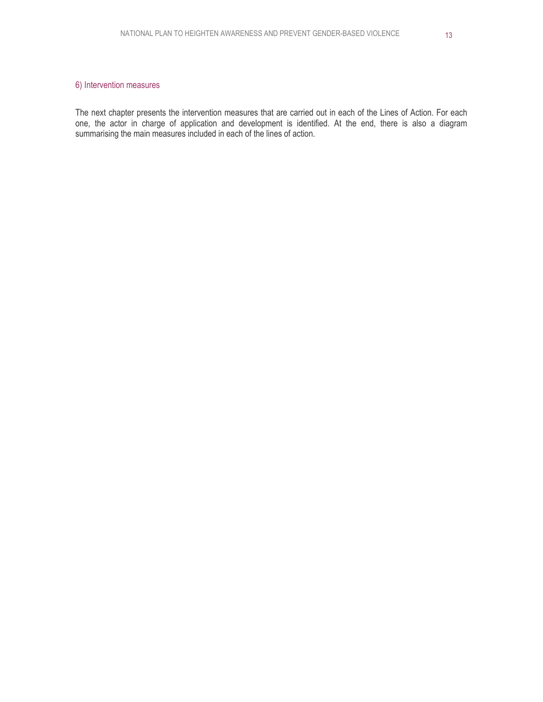#### 6) Intervention measures

The next chapter presents the intervention measures that are carried out in each of the Lines of Action. For each one, the actor in charge of application and development is identified. At the end, there is also a diagram summarising the main measures included in each of the lines of action.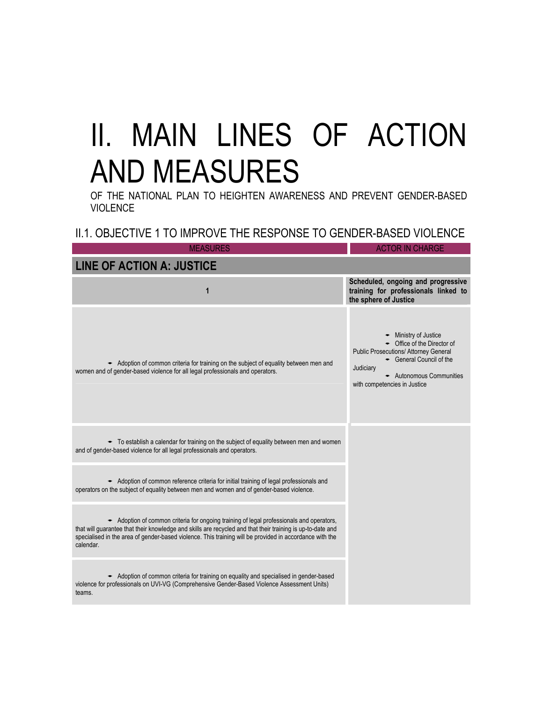## II. MAIN LINES OF ACTION AND MEASURES

OF THE NATIONAL PLAN TO HEIGHTEN AWARENESS AND PREVENT GENDER-BASED **VIOLENCE** 

## II.1. OBJECTIVE 1 TO IMPROVE THE RESPONSE TO GENDER-BASED VIOLENCE

| <b>MEASURES</b>                                                                                                                                                                                                                                                                                                              | <b>ACTOR IN CHARGE</b>                                                                                                                                                                           |
|------------------------------------------------------------------------------------------------------------------------------------------------------------------------------------------------------------------------------------------------------------------------------------------------------------------------------|--------------------------------------------------------------------------------------------------------------------------------------------------------------------------------------------------|
| <b>LINE OF ACTION A: JUSTICE</b>                                                                                                                                                                                                                                                                                             |                                                                                                                                                                                                  |
| 1                                                                                                                                                                                                                                                                                                                            | Scheduled, ongoing and progressive<br>training for professionals linked to<br>the sphere of Justice                                                                                              |
| Adoption of common criteria for training on the subject of equality between men and<br>women and of gender-based violence for all legal professionals and operators.                                                                                                                                                         | - Ministry of Justice<br>• Office of the Director of<br>Public Prosecutions/ Attorney General<br>General Council of the<br>Judiciary<br>- Autonomous Communities<br>with competencies in Justice |
| • To establish a calendar for training on the subject of equality between men and women<br>and of gender-based violence for all legal professionals and operators.                                                                                                                                                           |                                                                                                                                                                                                  |
| Adoption of common reference criteria for initial training of legal professionals and<br>operators on the subject of equality between men and women and of gender-based violence.                                                                                                                                            |                                                                                                                                                                                                  |
| Adoption of common criteria for ongoing training of legal professionals and operators,<br>that will guarantee that their knowledge and skills are recycled and that their training is up-to-date and<br>specialised in the area of gender-based violence. This training will be provided in accordance with the<br>calendar. |                                                                                                                                                                                                  |
| Adoption of common criteria for training on equality and specialised in gender-based<br>violence for professionals on UVI-VG (Comprehensive Gender-Based Violence Assessment Units)<br>teams.                                                                                                                                |                                                                                                                                                                                                  |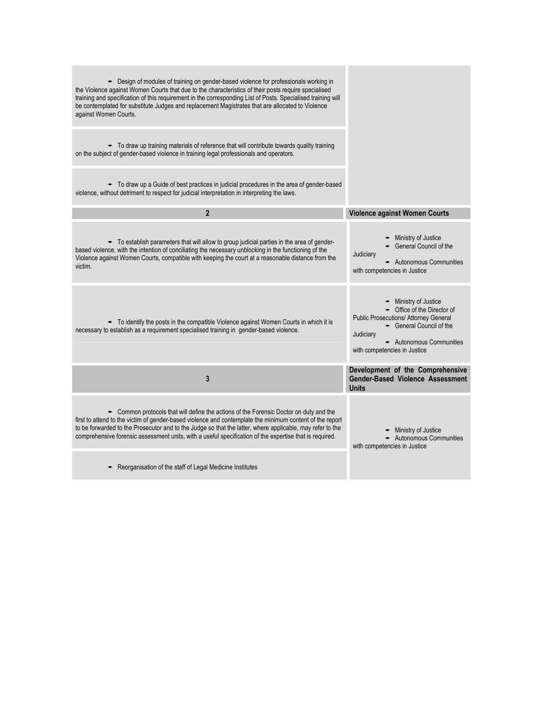| Example 1 Design of modules of training on gender-based violence for professionals working in<br>the Violence against Women Courts that due to the characteristics of their posts require specialised<br>training and specification of this requirement in the corresponding List of Posts. Specialised training will<br>be contemplated for substitute Judges and replacement Magistrates that are allocated to Violence<br>against Women Courts. |                                                                                                                                                                                                                   |
|----------------------------------------------------------------------------------------------------------------------------------------------------------------------------------------------------------------------------------------------------------------------------------------------------------------------------------------------------------------------------------------------------------------------------------------------------|-------------------------------------------------------------------------------------------------------------------------------------------------------------------------------------------------------------------|
| • To draw up training materials of reference that will contribute towards quality training<br>on the subject of gender-based violence in training legal professionals and operators.                                                                                                                                                                                                                                                               |                                                                                                                                                                                                                   |
| • To draw up a Guide of best practices in judicial procedures in the area of gender-based<br>violence, without detriment to respect for judicial interpretation in interpreting the laws.                                                                                                                                                                                                                                                          |                                                                                                                                                                                                                   |
| $\overline{2}$                                                                                                                                                                                                                                                                                                                                                                                                                                     | Violence against Women Courts                                                                                                                                                                                     |
| - To establish parameters that will allow to group judicial parties in the area of gender-<br>based violence, with the intention of conciliating the necessary unblocking in the functioning of the<br>Violence against Women Courts, compatible with keeping the court at a reasonable distance from the<br>victim.                                                                                                                               | $\bullet$ Ministry of Justice<br>General Council of the<br>Judiciary<br>Autonomous Communities<br>with competencies in Justice                                                                                    |
| $\bullet$ To identify the posts in the compatible Violence against Women Courts in which it is<br>necessary to establish as a requirement specialised training in gender-based violence.                                                                                                                                                                                                                                                           | - Ministry of Justice<br>$\bullet$ Office of the Director of<br><b>Public Prosecutions/ Attorney General</b><br>← General Council of the<br>Judiciary<br>- Autonomous Communities<br>with competencies in Justice |
| 3                                                                                                                                                                                                                                                                                                                                                                                                                                                  | Development of the Comprehensive<br><b>Gender-Based Violence Assessment</b><br>Units                                                                                                                              |
| • Common protocols that will define the actions of the Forensic Doctor on duty and the<br>first to attend to the victim of gender-based violence and contemplate the minimum content of the report<br>to be forwarded to the Prosecutor and to the Judge so that the latter, where applicable, may refer to the<br>comprehensive forensic assessment units, with a useful specification of the expertise that is required.                         | - Ministry of Justice<br>- Autonomous Communities<br>with competencies in Justice                                                                                                                                 |
| Reorganisation of the staff of Legal Medicine Institutes                                                                                                                                                                                                                                                                                                                                                                                           |                                                                                                                                                                                                                   |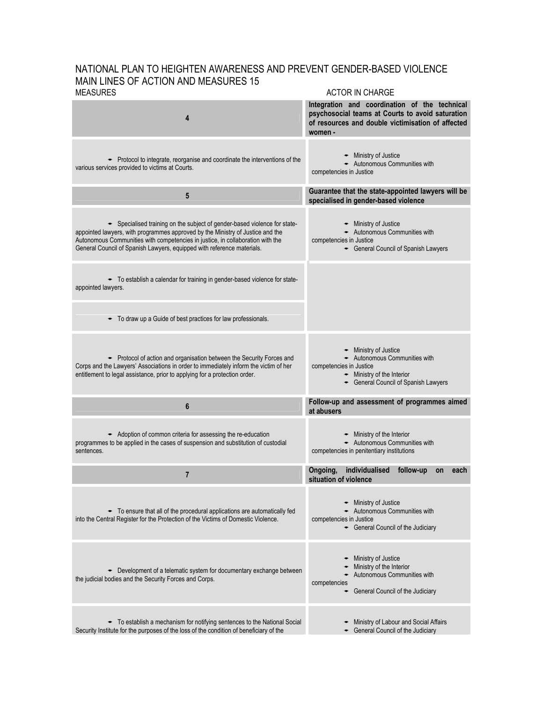#### NATIONAL PLAN TO HEIGHTEN AWARENESS AND PREVENT GENDER-BASED VIOLENCE MAIN LINES OF ACTION AND MEASURES 15<br>MEASURES ACTOR IN CHARGE

|                                                                                                                                                                                                                                                                                                                       | ∟טו ווע ווז ווערו טו                                                                                                                                              |
|-----------------------------------------------------------------------------------------------------------------------------------------------------------------------------------------------------------------------------------------------------------------------------------------------------------------------|-------------------------------------------------------------------------------------------------------------------------------------------------------------------|
| 4                                                                                                                                                                                                                                                                                                                     | Integration and coordination of the technical<br>psychosocial teams at Courts to avoid saturation<br>of resources and double victimisation of affected<br>women - |
| • Protocol to integrate, reorganise and coordinate the interventions of the<br>various services provided to victims at Courts.                                                                                                                                                                                        | $\bullet$ Ministry of Justice<br>- Autonomous Communities with<br>competencies in Justice                                                                         |
| 5                                                                                                                                                                                                                                                                                                                     | Guarantee that the state-appointed lawyers will be<br>specialised in gender-based violence                                                                        |
| Specialised training on the subject of gender-based violence for state-<br>appointed lawyers, with programmes approved by the Ministry of Justice and the<br>Autonomous Communities with competencies in justice, in collaboration with the<br>General Council of Spanish Lawyers, equipped with reference materials. | - Ministry of Justice<br>- Autonomous Communities with<br>competencies in Justice<br>General Council of Spanish Lawyers                                           |
| • To establish a calendar for training in gender-based violence for state-<br>appointed lawyers.                                                                                                                                                                                                                      |                                                                                                                                                                   |
| To draw up a Guide of best practices for law professionals.                                                                                                                                                                                                                                                           |                                                                                                                                                                   |
| • Protocol of action and organisation between the Security Forces and<br>Corps and the Lawyers' Associations in order to immediately inform the victim of her<br>entitlement to legal assistance, prior to applying for a protection order.                                                                           | - Ministry of Justice<br>Autonomous Communities with<br>competencies in Justice<br>$\bullet$ Ministry of the Interior<br>General Council of Spanish Lawyers       |
| 6                                                                                                                                                                                                                                                                                                                     | Follow-up and assessment of programmes aimed<br>at abusers                                                                                                        |
| Adoption of common criteria for assessing the re-education<br>programmes to be applied in the cases of suspension and substitution of custodial<br>sentences.                                                                                                                                                         | - Ministry of the Interior<br>Autonomous Communities with<br>competencies in penitentiary institutions                                                            |
| $\overline{7}$                                                                                                                                                                                                                                                                                                        | individualised<br>Ongoing,<br>follow-up<br>on<br>each<br>situation of violence                                                                                    |
| $\bullet$ To ensure that all of the procedural applications are automatically fed<br>into the Central Register for the Protection of the Victims of Domestic Violence.                                                                                                                                                | Ministry of Justice<br>Autonomous Communities with<br>competencies in Justice<br>- General Council of the Judiciary                                               |
| • Development of a telematic system for documentary exchange between<br>the judicial bodies and the Security Forces and Corps.                                                                                                                                                                                        | Ministry of Justice<br>Ministry of the Interior<br>Autonomous Communities with<br>competencies<br>General Council of the Judiciary<br>٠                           |
| • To establish a mechanism for notifying sentences to the National Social                                                                                                                                                                                                                                             | Ministry of Labour and Social Affairs                                                                                                                             |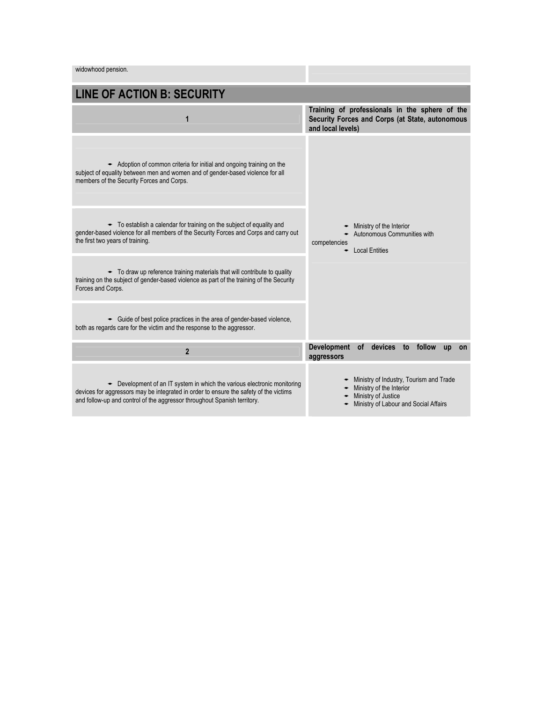widowhood pension.

| <b>LINE OF ACTION B: SECURITY</b>                                                                                                                                                                                                                     |                                                                                                                                     |
|-------------------------------------------------------------------------------------------------------------------------------------------------------------------------------------------------------------------------------------------------------|-------------------------------------------------------------------------------------------------------------------------------------|
| 1                                                                                                                                                                                                                                                     | Training of professionals in the sphere of the<br>Security Forces and Corps (at State, autonomous<br>and local levels)              |
| $\bullet$ Adoption of common criteria for initial and ongoing training on the<br>subject of equality between men and women and of gender-based violence for all<br>members of the Security Forces and Corps.                                          |                                                                                                                                     |
| • To establish a calendar for training on the subject of equality and<br>gender-based violence for all members of the Security Forces and Corps and carry out<br>the first two years of training.                                                     | Ministry of the Interior<br>Autonomous Communities with<br>competencies<br><b>Local Entities</b>                                    |
| • To draw up reference training materials that will contribute to quality<br>training on the subject of gender-based violence as part of the training of the Security<br>Forces and Corps.                                                            |                                                                                                                                     |
| • Guide of best police practices in the area of gender-based violence.<br>both as regards care for the victim and the response to the aggressor.                                                                                                      |                                                                                                                                     |
| $\overline{2}$                                                                                                                                                                                                                                        | <b>Development</b><br>devices<br>follow<br><b>of</b><br>to<br><b>up</b><br>on<br>aggressors                                         |
| $\bullet$ Development of an IT system in which the various electronic monitoring<br>devices for aggressors may be integrated in order to ensure the safety of the victims<br>and follow-up and control of the aggressor throughout Spanish territory. | Ministry of Industry, Tourism and Trade<br>Ministry of the Interior<br>Ministry of Justice<br>Ministry of Labour and Social Affairs |

<u>a Tan</u>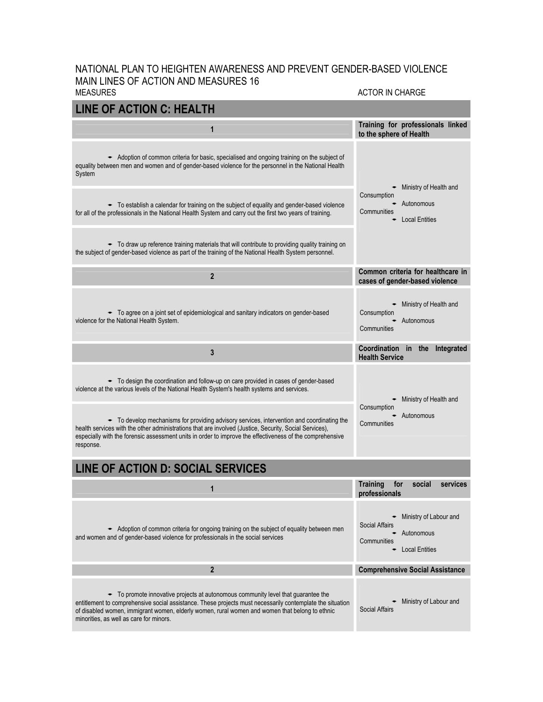#### NATIONAL PLAN TO HEIGHTEN AWARENESS AND PREVENT GENDER-BASED VIOLENCE MAIN LINES OF ACTION AND MEASURES 16 MEASURES ACTOR IN CHARGE

| <b>LINE OF ACTION C: HEALTH</b>                                                                                                                                                                                                                                                                                                             |                                                                                                         |  |
|---------------------------------------------------------------------------------------------------------------------------------------------------------------------------------------------------------------------------------------------------------------------------------------------------------------------------------------------|---------------------------------------------------------------------------------------------------------|--|
| 1                                                                                                                                                                                                                                                                                                                                           | Training for professionals linked<br>to the sphere of Health                                            |  |
| Adoption of common criteria for basic, specialised and ongoing training on the subject of<br>equality between men and women and of gender-based violence for the personnel in the National Health<br>System                                                                                                                                 | Ministry of Health and                                                                                  |  |
| • To establish a calendar for training on the subject of equality and gender-based violence<br>for all of the professionals in the National Health System and carry out the first two years of training.                                                                                                                                    | Consumption<br>- Autonomous<br>Communities<br><b>Local Entities</b>                                     |  |
| • To draw up reference training materials that will contribute to providing quality training on<br>the subject of gender-based violence as part of the training of the National Health System personnel.                                                                                                                                    |                                                                                                         |  |
| $\overline{2}$                                                                                                                                                                                                                                                                                                                              | Common criteria for healthcare in<br>cases of gender-based violence                                     |  |
| - To agree on a joint set of epidemiological and sanitary indicators on gender-based<br>violence for the National Health System.                                                                                                                                                                                                            | Ministry of Health and<br>٠<br>Consumption<br>- Autonomous<br>Communities                               |  |
| 3                                                                                                                                                                                                                                                                                                                                           | Coordination in the Integrated<br><b>Health Service</b>                                                 |  |
| • To design the coordination and follow-up on care provided in cases of gender-based<br>violence at the various levels of the National Health System's health systems and services.                                                                                                                                                         | Ministry of Health and<br>٠                                                                             |  |
| • To develop mechanisms for providing advisory services, intervention and coordinating the<br>health services with the other administrations that are involved (Justice, Security, Social Services),<br>especially with the forensic assessment units in order to improve the effectiveness of the comprehensive<br>response.               | Consumption<br>- Autonomous<br>Communities                                                              |  |
| <b>LINE OF ACTION D: SOCIAL SERVICES</b>                                                                                                                                                                                                                                                                                                    |                                                                                                         |  |
| 1                                                                                                                                                                                                                                                                                                                                           | social<br><b>Training</b><br>for<br>services<br>professionals                                           |  |
| Adoption of common criteria for ongoing training on the subject of equality between men<br>and women and of gender-based violence for professionals in the social services                                                                                                                                                                  | Ministry of Labour and<br><b>Social Affairs</b><br>- Autonomous<br>Communities<br><b>Local Entities</b> |  |
| $\mathbf{2}$                                                                                                                                                                                                                                                                                                                                | <b>Comprehensive Social Assistance</b>                                                                  |  |
| • To promote innovative projects at autonomous community level that quarantee the<br>entitlement to comprehensive social assistance. These projects must necessarily contemplate the situation<br>of disabled women, immigrant women, elderly women, rural women and women that belong to ethnic<br>minorities, as well as care for minors. | Ministry of Labour and<br>Social Affairs                                                                |  |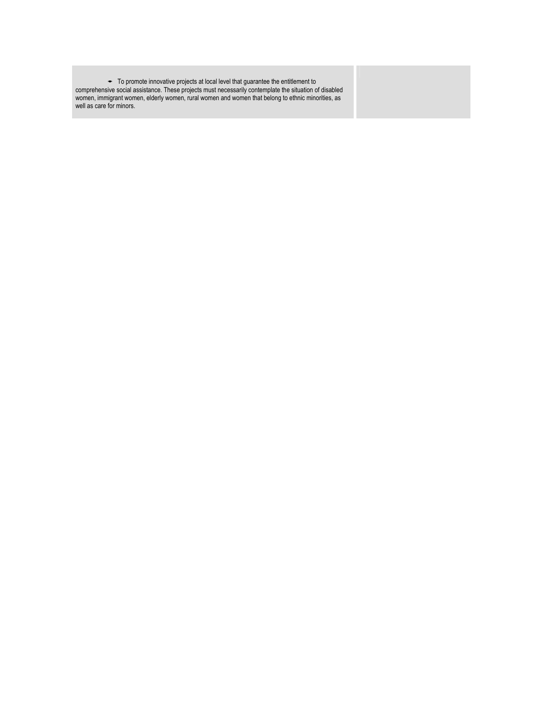¢ To promote innovative projects at local level that guarantee the entitlement to comprehensive social assistance. These projects must necessarily contemplate the situation of disabled women, immigrant women, elderly women, rural women and women that belong to ethnic minorities, as well as care for minors.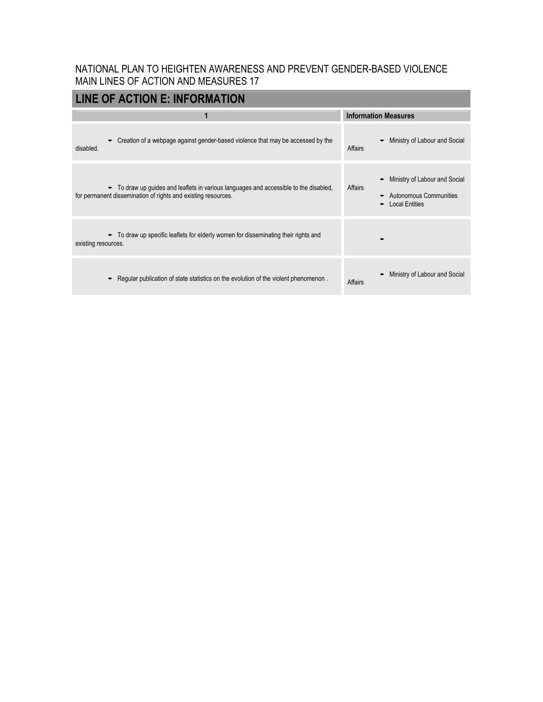| <b>LINE OF ACTION E: INFORMATION</b>                                                                                                                   |                                                                                             |
|--------------------------------------------------------------------------------------------------------------------------------------------------------|---------------------------------------------------------------------------------------------|
|                                                                                                                                                        | <b>Information Measures</b>                                                                 |
| • Creation of a webpage against gender-based violence that may be accessed by the<br>disabled.                                                         | Ministry of Labour and Social<br>Affairs                                                    |
| • To draw up guides and leaflets in various languages and accessible to the disabled,<br>for permanent dissemination of rights and existing resources. | Ministry of Labour and Social<br>Affairs<br>Autonomous Communities<br><b>Local Entities</b> |
| $\bullet$ To draw up specific leaflets for elderly women for disseminating their rights and<br>existing resources.                                     |                                                                                             |
| Regular publication of state statistics on the evolution of the violent phenomenon.                                                                    | Ministry of Labour and Social<br>Affairs                                                    |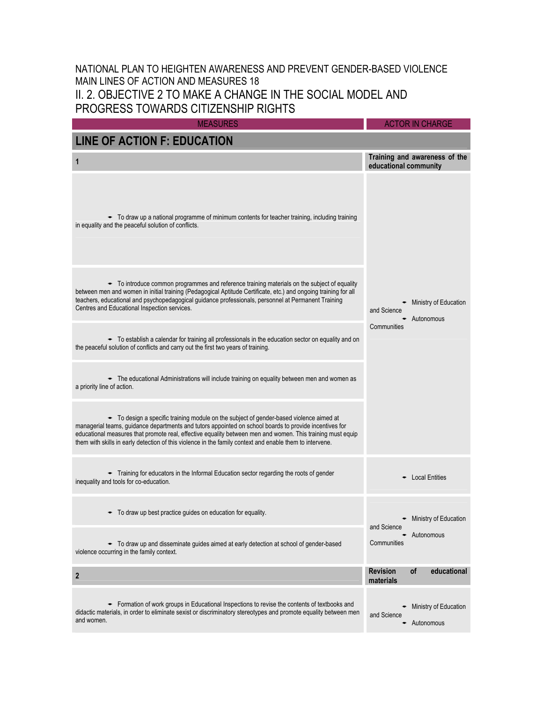## NATIONAL PLAN TO HEIGHTEN AWARENESS AND PREVENT GENDER-BASED VIOLENCE MAIN LINES OF ACTION AND MEASURES 18 II. 2. OBJECTIVE 2 TO MAKE A CHANGE IN THE SOCIAL MODEL AND PROGRESS TOWARDS CITIZENSHIP RIGHTS

| <b>MEASURES</b>                                                                                                                                                                                                                                                                                                                                                                                                             | <b>ACTOR IN CHARGE</b>                                 |
|-----------------------------------------------------------------------------------------------------------------------------------------------------------------------------------------------------------------------------------------------------------------------------------------------------------------------------------------------------------------------------------------------------------------------------|--------------------------------------------------------|
| <b>LINE OF ACTION F: EDUCATION</b>                                                                                                                                                                                                                                                                                                                                                                                          |                                                        |
| 1                                                                                                                                                                                                                                                                                                                                                                                                                           | Training and awareness of the<br>educational community |
| • To draw up a national programme of minimum contents for teacher training, including training<br>in equality and the peaceful solution of conflicts.                                                                                                                                                                                                                                                                       |                                                        |
| • To introduce common programmes and reference training materials on the subject of equality<br>between men and women in initial training (Pedagogical Aptitude Certificate, etc.) and ongoing training for all<br>teachers, educational and psychopedagogical guidance professionals, personnel at Permanent Training<br>Centres and Educational Inspection services.                                                      | Ministry of Education<br>and Science<br>► Autonomous   |
| • To establish a calendar for training all professionals in the education sector on equality and on<br>the peaceful solution of conflicts and carry out the first two years of training.                                                                                                                                                                                                                                    | Communities                                            |
| The educational Administrations will include training on equality between men and women as<br>a priority line of action.                                                                                                                                                                                                                                                                                                    |                                                        |
| • To design a specific training module on the subject of gender-based violence aimed at<br>managerial teams, guidance departments and tutors appointed on school boards to provide incentives for<br>educational measures that promote real, effective equality between men and women. This training must equip<br>them with skills in early detection of this violence in the family context and enable them to intervene. |                                                        |
| Training for educators in the Informal Education sector regarding the roots of gender<br>inequality and tools for co-education.                                                                                                                                                                                                                                                                                             | <b>Local Entities</b>                                  |
| $\bullet$ To draw up best practice guides on education for equality.                                                                                                                                                                                                                                                                                                                                                        | - Ministry of Education<br>and Science                 |
| • To draw up and disseminate guides aimed at early detection at school of gender-based<br>violence occurring in the family context.                                                                                                                                                                                                                                                                                         | Autonomous<br>Communities                              |
| $\mathbf{2}$                                                                                                                                                                                                                                                                                                                                                                                                                | of<br><b>Revision</b><br>educational<br>materials      |
| • Formation of work groups in Educational Inspections to revise the contents of textbooks and<br>didactic materials, in order to eliminate sexist or discriminatory stereotypes and promote equality between men<br>and women.                                                                                                                                                                                              | Ministry of Education<br>and Science<br>- Autonomous   |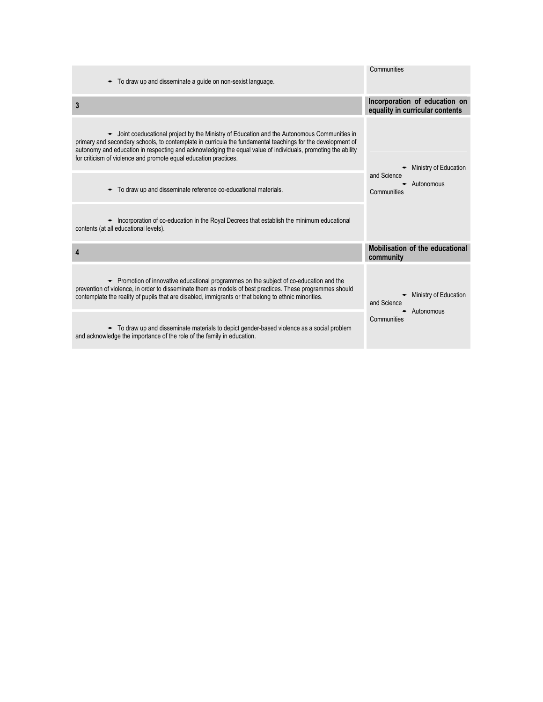| $\bullet$ To draw up and disseminate a quide on non-sexist language.                                                                                                                                                                                                                                                                                                                                    | Communities                                                      |
|---------------------------------------------------------------------------------------------------------------------------------------------------------------------------------------------------------------------------------------------------------------------------------------------------------------------------------------------------------------------------------------------------------|------------------------------------------------------------------|
| 3                                                                                                                                                                                                                                                                                                                                                                                                       | Incorporation of education on<br>equality in curricular contents |
| $\bullet$ Joint coeducational project by the Ministry of Education and the Autonomous Communities in<br>primary and secondary schools, to contemplate in curricula the fundamental teachings for the development of<br>autonomy and education in respecting and acknowledging the equal value of individuals, promoting the ability<br>for criticism of violence and promote equal education practices. | Ministry of Education                                            |
| • To draw up and disseminate reference co-educational materials.                                                                                                                                                                                                                                                                                                                                        | and Science<br>Autonomous<br>Communities                         |
| • Incorporation of co-education in the Royal Decrees that establish the minimum educational<br>contents (at all educational levels).                                                                                                                                                                                                                                                                    |                                                                  |
| 4                                                                                                                                                                                                                                                                                                                                                                                                       | Mobilisation of the educational<br>community                     |
| • Promotion of innovative educational programmes on the subject of co-education and the<br>prevention of violence, in order to disseminate them as models of best practices. These programmes should<br>contemplate the reality of pupils that are disabled, immigrants or that belong to ethnic minorities.                                                                                            | Ministry of Education<br>and Science<br>Autonomous               |
| • To draw up and disseminate materials to depict gender-based violence as a social problem<br>and acknowledge the importance of the role of the family in education.                                                                                                                                                                                                                                    | Communities                                                      |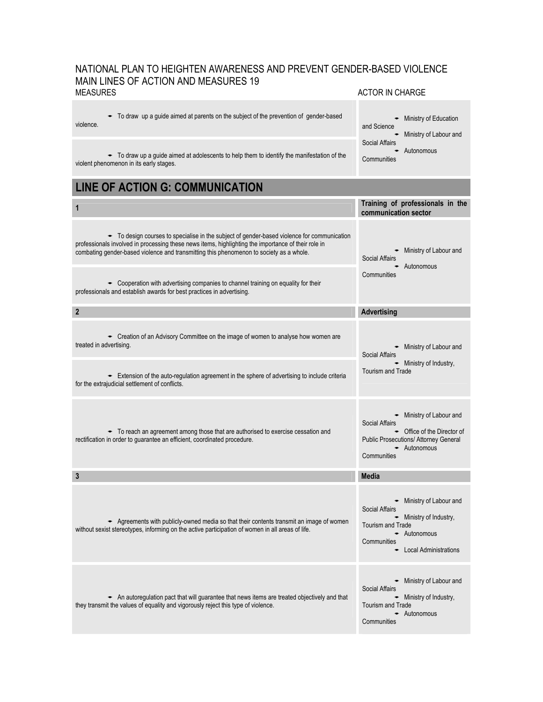## NATIONAL PLAN TO HEIGHTEN AWARENESS AND PREVENT GENDER-BASED VIOLENCE MAIN LINES OF ACTION AND MEASURES 19<br>MEASURES ACTOR IN CHARGE

| $\bullet$ To draw up a guide aimed at parents on the subject of the prevention of gender-based<br>violence.                                                                                                                                                                                                                                                                                 | Ministry of Education<br>and Science<br>Ministry of Labour and                                                                                                              |
|---------------------------------------------------------------------------------------------------------------------------------------------------------------------------------------------------------------------------------------------------------------------------------------------------------------------------------------------------------------------------------------------|-----------------------------------------------------------------------------------------------------------------------------------------------------------------------------|
| $\bullet$ To draw up a guide aimed at adolescents to help them to identify the manifestation of the<br>violent phenomenon in its early stages.                                                                                                                                                                                                                                              | Social Affairs<br>- Autonomous<br>Communities                                                                                                                               |
| <b>LINE OF ACTION G: COMMUNICATION</b>                                                                                                                                                                                                                                                                                                                                                      |                                                                                                                                                                             |
| 1                                                                                                                                                                                                                                                                                                                                                                                           | Training of professionals in the<br>communication sector                                                                                                                    |
| - To design courses to specialise in the subject of gender-based violence for communication<br>professionals involved in processing these news items, highlighting the importance of their role in<br>combating gender-based violence and transmitting this phenomenon to society as a whole.<br>$\bullet$ Cooperation with advertising companies to channel training on equality for their | • Ministry of Labour and<br><b>Social Affairs</b><br>- Autonomous<br>Communities                                                                                            |
| professionals and establish awards for best practices in advertising.                                                                                                                                                                                                                                                                                                                       |                                                                                                                                                                             |
| $\mathbf{2}$                                                                                                                                                                                                                                                                                                                                                                                | <b>Advertising</b>                                                                                                                                                          |
| $\bullet$ Creation of an Advisory Committee on the image of women to analyse how women are<br>treated in advertising.                                                                                                                                                                                                                                                                       | • Ministry of Labour and<br>Social Affairs<br>- Ministry of Industry,                                                                                                       |
| Extension of the auto-regulation agreement in the sphere of advertising to include criteria<br>for the extrajudicial settlement of conflicts.                                                                                                                                                                                                                                               | <b>Tourism and Trade</b>                                                                                                                                                    |
| • To reach an agreement among those that are authorised to exercise cessation and<br>rectification in order to guarantee an efficient, coordinated procedure.                                                                                                                                                                                                                               | $\bullet$ Ministry of Labour and<br>Social Affairs<br>• Office of the Director of<br>Public Prosecutions/ Attorney General<br>- Autonomous<br>Communities                   |
| 3                                                                                                                                                                                                                                                                                                                                                                                           | <b>Media</b>                                                                                                                                                                |
| Agreements with publicly-owned media so that their contents transmit an image of women<br>without sexist stereotypes, informing on the active participation of women in all areas of life.                                                                                                                                                                                                  | $\bullet$ Ministry of Labour and<br>Social Affairs<br>$\bullet$ Ministry of Industry,<br><b>Tourism and Trade</b><br>- Autonomous<br>Communities<br>• Local Administrations |
| An autoregulation pact that will guarantee that news items are treated objectively and that<br>they transmit the values of equality and vigorously reject this type of violence.                                                                                                                                                                                                            | Ministry of Labour and<br>٠<br>Social Affairs<br>$\bullet$ Ministry of Industry,<br><b>Tourism and Trade</b><br>- Autonomous<br>Communities                                 |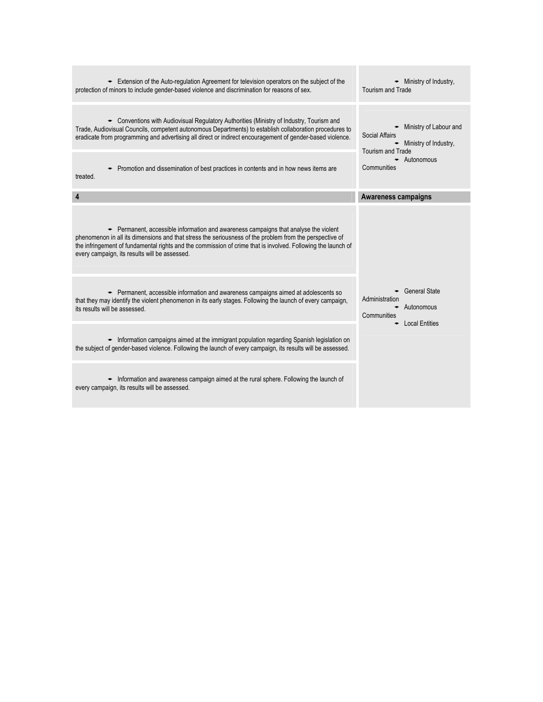| Extension of the Auto-regulation Agreement for television operators on the subject of the<br>protection of minors to include gender-based violence and discrimination for reasons of sex.                                                                                                                                                                        | Ministry of Industry,<br><b>Tourism and Trade</b>                                                       |
|------------------------------------------------------------------------------------------------------------------------------------------------------------------------------------------------------------------------------------------------------------------------------------------------------------------------------------------------------------------|---------------------------------------------------------------------------------------------------------|
| Conventions with Audiovisual Requlatory Authorities (Ministry of Industry, Tourism and<br>Trade, Audiovisual Councils, competent autonomous Departments) to establish collaboration procedures to<br>eradicate from programming and advertising all direct or indirect encouragement of gender-based violence.                                                   | Ministry of Labour and<br>Social Affairs<br>$\bullet$ Ministry of Industry,<br><b>Tourism and Trade</b> |
| Promotion and dissemination of best practices in contents and in how news items are<br>treated.                                                                                                                                                                                                                                                                  | Autonomous<br>Communities                                                                               |
| 4                                                                                                                                                                                                                                                                                                                                                                | <b>Awareness campaigns</b>                                                                              |
| • Permanent, accessible information and awareness campaigns that analyse the violent<br>phenomenon in all its dimensions and that stress the seriousness of the problem from the perspective of<br>the infringement of fundamental rights and the commission of crime that is involved. Following the launch of<br>every campaign, its results will be assessed. |                                                                                                         |
| Example Permanent, accessible information and awareness campaigns aimed at adolescents so<br>that they may identify the violent phenomenon in its early stages. Following the launch of every campaign,<br>its results will be assessed.                                                                                                                         | <b>General State</b><br>Administration<br>Autonomous<br>Communities<br><b>Local Entities</b>            |
| - Information campaigns aimed at the immigrant population regarding Spanish legislation on<br>the subject of gender-based violence. Following the launch of every campaign, its results will be assessed.                                                                                                                                                        |                                                                                                         |
| • Information and awareness campaign aimed at the rural sphere. Following the launch of<br>every campaign, its results will be assessed.                                                                                                                                                                                                                         |                                                                                                         |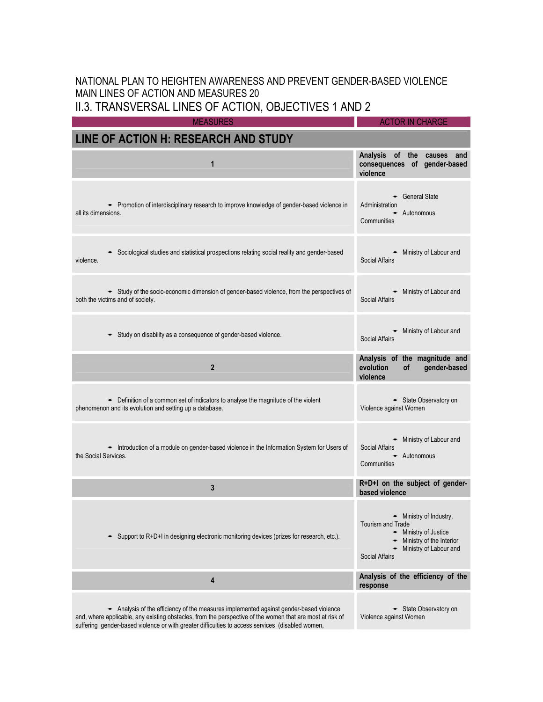II.3. TRANSVERSAL LINES OF ACTION, OBJECTIVES 1 AND 2

MEASURES ACTOR IN CHARGE

| LINE OF ACTION H: RESEARCH AND STUDY                                                                                                                                                                                                                                                                  |                                                                                                                                                    |
|-------------------------------------------------------------------------------------------------------------------------------------------------------------------------------------------------------------------------------------------------------------------------------------------------------|----------------------------------------------------------------------------------------------------------------------------------------------------|
| 1                                                                                                                                                                                                                                                                                                     | <b>Analysis</b><br>of the<br>causes<br>and<br>consequences of gender-based<br>violence                                                             |
| - Promotion of interdisciplinary research to improve knowledge of gender-based violence in<br>all its dimensions.                                                                                                                                                                                     | General State<br>Administration<br>- Autonomous<br>Communities                                                                                     |
| Sociological studies and statistical prospections relating social reality and gender-based<br>violence.                                                                                                                                                                                               | - Ministry of Labour and<br><b>Social Affairs</b>                                                                                                  |
| Study of the socio-economic dimension of gender-based violence, from the perspectives of<br>both the victims and of society.                                                                                                                                                                          | • Ministry of Labour and<br><b>Social Affairs</b>                                                                                                  |
| Study on disability as a consequence of gender-based violence.                                                                                                                                                                                                                                        | - Ministry of Labour and<br><b>Social Affairs</b>                                                                                                  |
| $\overline{2}$                                                                                                                                                                                                                                                                                        | Analysis of the magnitude and<br>evolution<br>of<br>gender-based<br>violence                                                                       |
| - Definition of a common set of indicators to analyse the magnitude of the violent<br>phenomenon and its evolution and setting up a database.                                                                                                                                                         | State Observatory on<br>Violence against Women                                                                                                     |
| - Introduction of a module on gender-based violence in the Information System for Users of<br>the Social Services.                                                                                                                                                                                    | • Ministry of Labour and<br>Social Affairs<br>- Autonomous<br>Communities                                                                          |
| 3                                                                                                                                                                                                                                                                                                     | R+D+I on the subject of gender-<br>based violence                                                                                                  |
| Support to R+D+I in designing electronic monitoring devices (prizes for research, etc.).                                                                                                                                                                                                              | - Ministry of Industry,<br>Tourism and Trade<br>Ministry of Justice<br>Ministry of the Interior<br>Ministry of Labour and<br><b>Social Affairs</b> |
| 4                                                                                                                                                                                                                                                                                                     | Analysis of the efficiency of the<br>response                                                                                                      |
| Analysis of the efficiency of the measures implemented against gender-based violence<br>and, where applicable, any existing obstacles, from the perspective of the women that are most at risk of<br>suffering gender-based violence or with greater difficulties to access services (disabled women, | State Observatory on<br>Violence against Women                                                                                                     |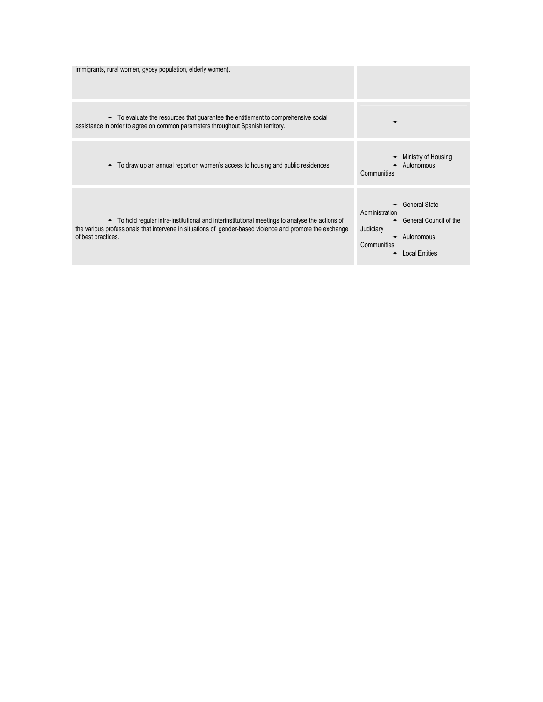| immigrants, rural women, gypsy population, elderly women).                                                                                                                                                                        |                                                                                                                                     |
|-----------------------------------------------------------------------------------------------------------------------------------------------------------------------------------------------------------------------------------|-------------------------------------------------------------------------------------------------------------------------------------|
| • To evaluate the resources that guarantee the entitlement to comprehensive social<br>assistance in order to agree on common parameters throughout Spanish territory.                                                             |                                                                                                                                     |
| To draw up an annual report on women's access to housing and public residences.<br>٠                                                                                                                                              | Ministry of Housing<br>Autonomous<br>Communities                                                                                    |
| • To hold regular intra-institutional and interinstitutional meetings to analyse the actions of<br>the various professionals that intervene in situations of gender-based violence and promote the exchange<br>of best practices. | <b>General State</b><br>Administration<br>General Council of the<br>Judiciary<br>Autonomous<br>Communities<br><b>Local Entities</b> |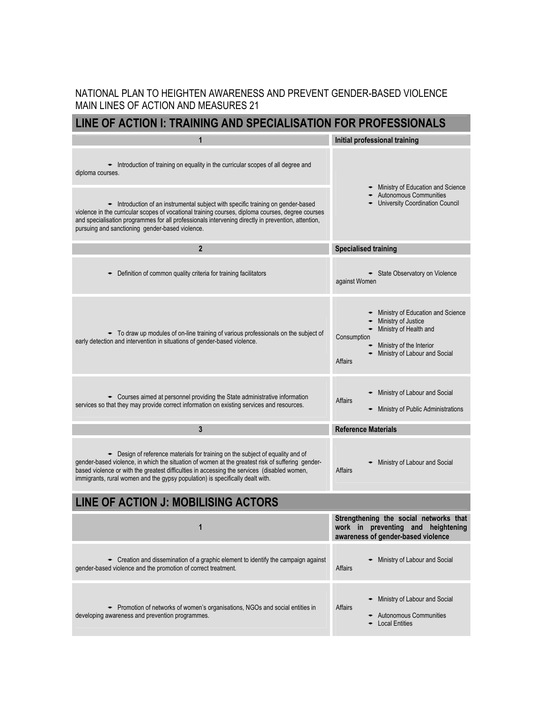## **LINE OF ACTION I: TRAINING AND SPECIALISATION FOR PROFESSIONALS**

| 1                                                                                                                                                                                                                                                                                                                                                                  | Initial professional training                                                                                                                                             |  |
|--------------------------------------------------------------------------------------------------------------------------------------------------------------------------------------------------------------------------------------------------------------------------------------------------------------------------------------------------------------------|---------------------------------------------------------------------------------------------------------------------------------------------------------------------------|--|
| • Introduction of training on equality in the curricular scopes of all degree and<br>diploma courses.                                                                                                                                                                                                                                                              | Ministry of Education and Science                                                                                                                                         |  |
| Introduction of an instrumental subject with specific training on gender-based<br>violence in the curricular scopes of vocational training courses, diploma courses, degree courses<br>and specialisation programmes for all professionals intervening directly in prevention, attention,<br>pursuing and sanctioning gender-based violence.                       | <b>Autonomous Communities</b><br><b>University Coordination Council</b>                                                                                                   |  |
| $\overline{2}$                                                                                                                                                                                                                                                                                                                                                     | <b>Specialised training</b>                                                                                                                                               |  |
| Definition of common quality criteria for training facilitators                                                                                                                                                                                                                                                                                                    | - State Observatory on Violence<br>against Women                                                                                                                          |  |
| • To draw up modules of on-line training of various professionals on the subject of<br>early detection and intervention in situations of gender-based violence.                                                                                                                                                                                                    | Ministry of Education and Science<br>Ministry of Justice<br>Ministry of Health and<br>Consumption<br>Ministry of the Interior<br>Ministry of Labour and Social<br>Affairs |  |
| • Courses aimed at personnel providing the State administrative information<br>services so that they may provide correct information on existing services and resources.                                                                                                                                                                                           | Ministry of Labour and Social<br>Affairs<br>Ministry of Public Administrations                                                                                            |  |
| 3                                                                                                                                                                                                                                                                                                                                                                  | <b>Reference Materials</b>                                                                                                                                                |  |
| • Design of reference materials for training on the subject of equality and of<br>gender-based violence, in which the situation of women at the greatest risk of suffering gender-<br>based violence or with the greatest difficulties in accessing the services (disabled women,<br>immigrants, rural women and the gypsy population) is specifically dealt with. | Ministry of Labour and Social<br>Affairs                                                                                                                                  |  |
| LINE OF ACTION J: MOBILISING ACTORS                                                                                                                                                                                                                                                                                                                                |                                                                                                                                                                           |  |
| 1                                                                                                                                                                                                                                                                                                                                                                  | Strengthening the social networks that<br>work in<br>preventing and heightening<br>awareness of gender-based violence                                                     |  |
| • Creation and dissemination of a graphic element to identify the campaign against<br>gender-based violence and the promotion of correct treatment.                                                                                                                                                                                                                | Ministry of Labour and Social<br>Affairs                                                                                                                                  |  |
| • Promotion of networks of women's organisations, NGOs and social entities in<br>developing awareness and prevention programmes.                                                                                                                                                                                                                                   | Ministry of Labour and Social<br>Affairs<br><b>Autonomous Communities</b><br><b>Local Entities</b>                                                                        |  |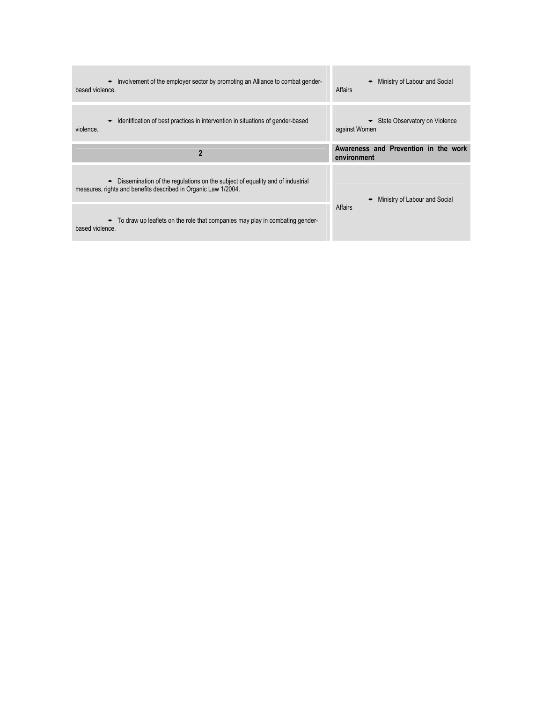| Involvement of the employer sector by promoting an Alliance to combat gender-<br>$\bullet$<br>based violence.                                        | Ministry of Labour and Social<br>٠<br>Affairs    |
|------------------------------------------------------------------------------------------------------------------------------------------------------|--------------------------------------------------|
| Identification of best practices in intervention in situations of gender-based<br>violence.                                                          | • State Observatory on Violence<br>against Women |
| $\overline{2}$                                                                                                                                       | Awareness and Prevention in the work             |
|                                                                                                                                                      | environment                                      |
| Dissemination of the regulations on the subject of equality and of industrial<br>٠<br>measures, rights and benefits described in Organic Law 1/2004. | Ministry of Labour and Social                    |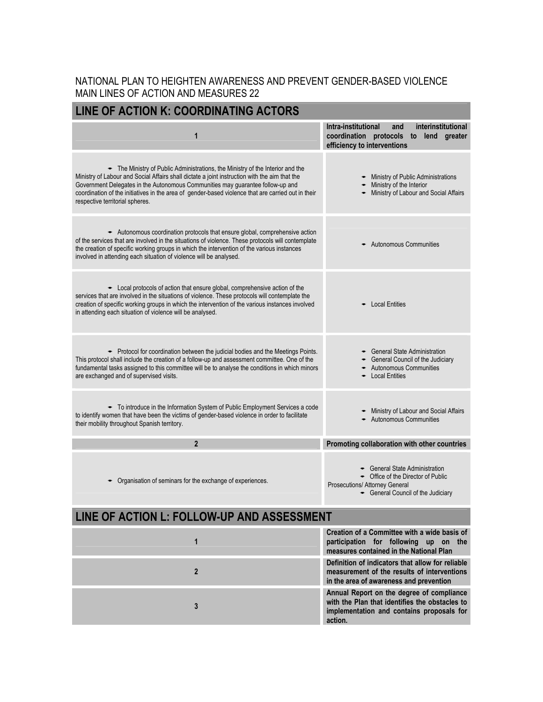| LINE OF ACTION K: COORDINATING ACTORS                                                                                                                                                                                                                                                                                                                                                                           |                                                                                                                                          |  |
|-----------------------------------------------------------------------------------------------------------------------------------------------------------------------------------------------------------------------------------------------------------------------------------------------------------------------------------------------------------------------------------------------------------------|------------------------------------------------------------------------------------------------------------------------------------------|--|
| $\mathbf 1$                                                                                                                                                                                                                                                                                                                                                                                                     | Intra-institutional<br>interinstitutional<br>and<br>coordination protocols to lend greater<br>efficiency to interventions                |  |
| $\div$ The Ministry of Public Administrations, the Ministry of the Interior and the<br>Ministry of Labour and Social Affairs shall dictate a joint instruction with the aim that the<br>Government Delegates in the Autonomous Communities may guarantee follow-up and<br>coordination of the initiatives in the area of gender-based violence that are carried out in their<br>respective territorial spheres. | Ministry of Public Administrations<br>Ministry of the Interior<br>Ministry of Labour and Social Affairs                                  |  |
| Autonomous coordination protocols that ensure global, comprehensive action<br>of the services that are involved in the situations of violence. These protocols will contemplate<br>the creation of specific working groups in which the intervention of the various instances<br>involved in attending each situation of violence will be analysed.                                                             | - Autonomous Communities                                                                                                                 |  |
| $\bullet$ Local protocols of action that ensure global, comprehensive action of the<br>services that are involved in the situations of violence. These protocols will contemplate the<br>creation of specific working groups in which the intervention of the various instances involved<br>in attending each situation of violence will be analysed.                                                           | <b>Local Entities</b>                                                                                                                    |  |
| • Protocol for coordination between the judicial bodies and the Meetings Points.<br>This protocol shall include the creation of a follow-up and assessment committee. One of the<br>fundamental tasks assigned to this committee will be to analyse the conditions in which minors<br>are exchanged and of supervised visits.                                                                                   | <b>General State Administration</b><br>General Council of the Judiciary<br><b>Autonomous Communities</b><br><b>Local Entities</b>        |  |
| • To introduce in the Information System of Public Employment Services a code<br>to identify women that have been the victims of gender-based violence in order to facilitate<br>their mobility throughout Spanish territory.                                                                                                                                                                                   | Ministry of Labour and Social Affairs<br>Autonomous Communities                                                                          |  |
| $\overline{2}$                                                                                                                                                                                                                                                                                                                                                                                                  | Promoting collaboration with other countries                                                                                             |  |
| Organisation of seminars for the exchange of experiences.                                                                                                                                                                                                                                                                                                                                                       | General State Administration<br>• Office of the Director of Public<br>Prosecutions/ Attorney General<br>General Council of the Judiciary |  |
| LINE OF ACTION L: FOLLOW-UP AND ASSESSMENT                                                                                                                                                                                                                                                                                                                                                                      |                                                                                                                                          |  |

| Creation of a Committee with a wide basis of<br>participation for following up on the<br>measures contained in the National Plan                    |
|-----------------------------------------------------------------------------------------------------------------------------------------------------|
| Definition of indicators that allow for reliable<br>measurement of the results of interventions<br>in the area of awareness and prevention          |
| Annual Report on the degree of compliance<br>with the Plan that identifies the obstacles to<br>implementation and contains proposals for<br>action. |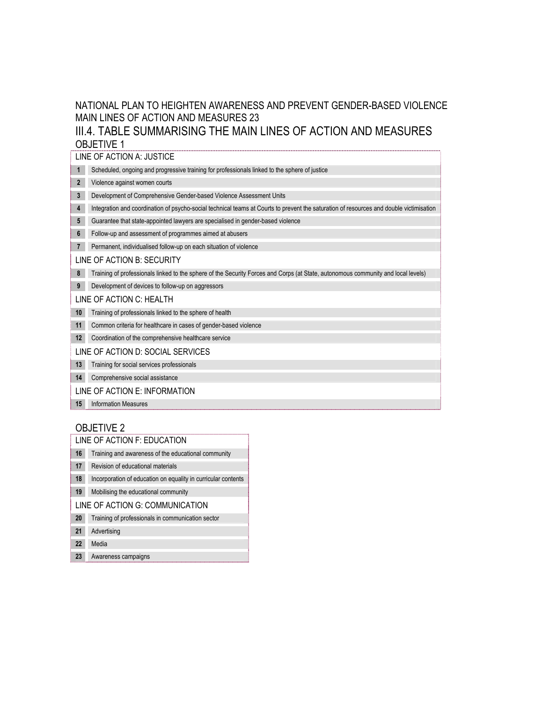III.4. TABLE SUMMARISING THE MAIN LINES OF ACTION AND MEASURES OBJETIVE 1

|                            | LINE OF ACTION A: JUSTICE                                                                                                               |  |  |
|----------------------------|-----------------------------------------------------------------------------------------------------------------------------------------|--|--|
| $\mathbf{1}$               | Scheduled, ongoing and progressive training for professionals linked to the sphere of justice                                           |  |  |
| $\overline{2}$             | Violence against women courts                                                                                                           |  |  |
| 3                          | Development of Comprehensive Gender-based Violence Assessment Units                                                                     |  |  |
| 4                          | Integration and coordination of psycho-social technical teams at Courts to prevent the saturation of resources and double victimisation |  |  |
| 5                          | Guarantee that state-appointed lawyers are specialised in gender-based violence                                                         |  |  |
| 6                          | Follow-up and assessment of programmes aimed at abusers                                                                                 |  |  |
| $\overline{7}$             | Permanent, individualised follow-up on each situation of violence                                                                       |  |  |
| LINE OF ACTION B: SECURITY |                                                                                                                                         |  |  |
| 8                          | Training of professionals linked to the sphere of the Security Forces and Corps (at State, autonomous community and local levels)       |  |  |
| 9                          | Development of devices to follow-up on aggressors                                                                                       |  |  |
| LINE OF ACTION C: HEALTH   |                                                                                                                                         |  |  |
| 10                         | Training of professionals linked to the sphere of health                                                                                |  |  |
| 11                         | Common criteria for healthcare in cases of gender-based violence                                                                        |  |  |
| 12 <sup>2</sup>            | Coordination of the comprehensive healthcare service                                                                                    |  |  |
|                            | LINE OF ACTION D: SOCIAL SERVICES                                                                                                       |  |  |
| 13                         | Training for social services professionals                                                                                              |  |  |
| 14                         | Comprehensive social assistance                                                                                                         |  |  |
|                            | LINE OF ACTION E: INFORMATION                                                                                                           |  |  |
| 15                         | <b>Information Measures</b>                                                                                                             |  |  |

## OBJETIVE 2

| LINE OF ACTION F: EDUCATION     |                                                               |
|---------------------------------|---------------------------------------------------------------|
| 16                              | Training and awareness of the educational community           |
| 17                              | Revision of educational materials                             |
| 18                              | Incorporation of education on equality in curricular contents |
| 19                              | Mobilising the educational community                          |
| LINE OF ACTION G: COMMUNICATION |                                                               |
| 20                              | Training of professionals in communication sector             |
| 21                              | Advertising                                                   |
| 22                              | Media                                                         |
| 23                              | Awareness campaigns                                           |